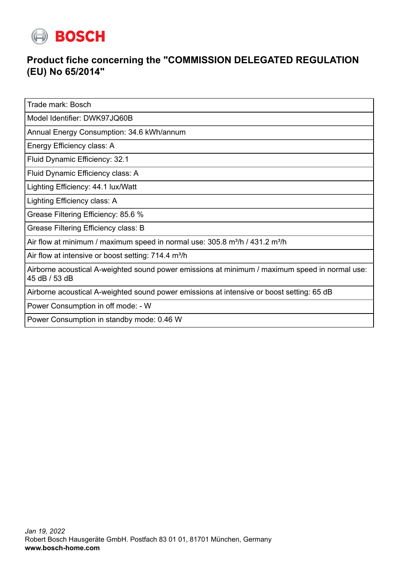

## **Product fiche concerning the "COMMISSION DELEGATED REGULATION (EU) No 65/2014"**

Trade mark: Bosch

Model Identifier: DWK97JQ60B

Annual Energy Consumption: 34.6 kWh/annum

Energy Efficiency class: A

Fluid Dynamic Efficiency: 32.1

Fluid Dynamic Efficiency class: A

Lighting Efficiency: 44.1 lux/Watt

Lighting Efficiency class: A

Grease Filtering Efficiency: 85.6 %

Grease Filtering Efficiency class: B

Air flow at minimum / maximum speed in normal use:  $305.8$  m $\frac{3}{h}$  / 431.2 m $\frac{3}{h}$ 

Air flow at intensive or boost setting:  $714.4$  m<sup>3</sup>/h

Airborne acoustical A-weighted sound power emissions at minimum / maximum speed in normal use: 45 dB / 53 dB

Airborne acoustical A-weighted sound power emissions at intensive or boost setting: 65 dB

Power Consumption in off mode: - W

Power Consumption in standby mode: 0.46 W